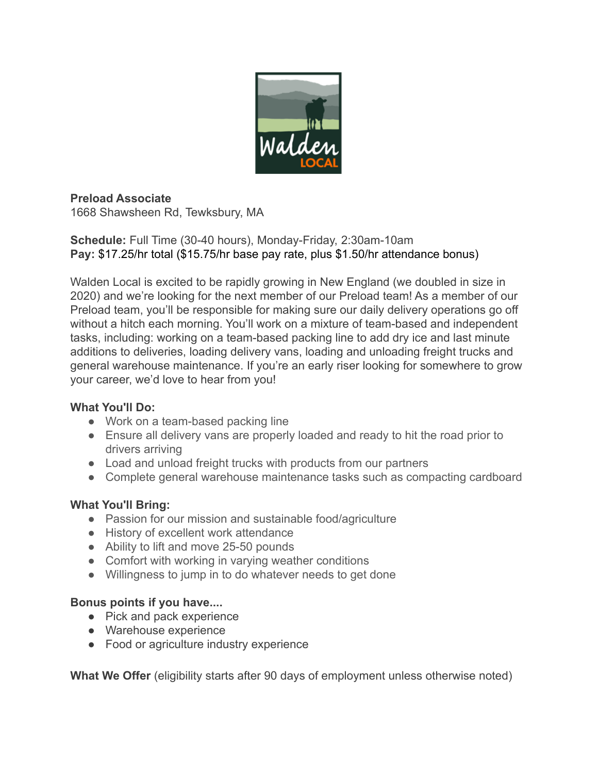

## **Preload Associate**

1668 Shawsheen Rd, Tewksbury, MA

**Schedule:** Full Time (30-40 hours), Monday-Friday, 2:30am-10am **Pay:** \$17.25/hr total (\$15.75/hr base pay rate, plus \$1.50/hr attendance bonus)

Walden Local is excited to be rapidly growing in New England (we doubled in size in 2020) and we're looking for the next member of our Preload team! As a member of our Preload team, you'll be responsible for making sure our daily delivery operations go off without a hitch each morning. You'll work on a mixture of team-based and independent tasks, including: working on a team-based packing line to add dry ice and last minute additions to deliveries, loading delivery vans, loading and unloading freight trucks and general warehouse maintenance. If you're an early riser looking for somewhere to grow your career, we'd love to hear from you!

### **What You'll Do:**

- Work on a team-based packing line
- Ensure all delivery vans are properly loaded and ready to hit the road prior to drivers arriving
- Load and unload freight trucks with products from our partners
- Complete general warehouse maintenance tasks such as compacting cardboard

## **What You'll Bring:**

- Passion for our mission and sustainable food/agriculture
- History of excellent work attendance
- Ability to lift and move 25-50 pounds
- Comfort with working in varying weather conditions
- Willingness to jump in to do whatever needs to get done

### **Bonus points if you have....**

- Pick and pack experience
- Warehouse experience
- Food or agriculture industry experience

**What We Offer** (eligibility starts after 90 days of employment unless otherwise noted)